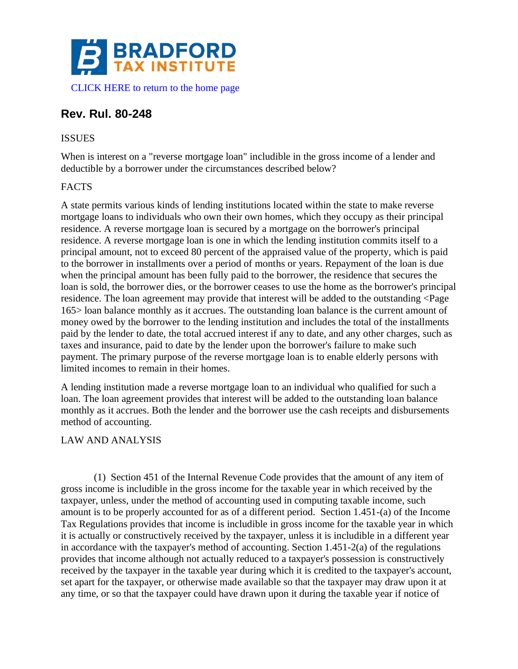

# **Rev. Rul. 80-248**

## ISSUES

When is interest on a "reverse mortgage loan" includible in the gross income of a lender and deductible by a borrower under the circumstances described below?

### FACTS

A state permits various kinds of lending institutions located within the state to make reverse mortgage loans to individuals who own their own homes, which they occupy as their principal residence. A reverse mortgage loan is secured by a mortgage on the borrower's principal residence. A reverse mortgage loan is one in which the lending institution commits itself to a principal amount, not to exceed 80 percent of the appraised value of the property, which is paid to the borrower in installments over a period of months or years. Repayment of the loan is due when the principal amount has been fully paid to the borrower, the residence that secures the loan is sold, the borrower dies, or the borrower ceases to use the home as the borrower's principal residence. The loan agreement may provide that interest will be added to the outstanding <Page 165> loan balance monthly as it accrues. The outstanding loan balance is the current amount of money owed by the borrower to the lending institution and includes the total of the installments paid by the lender to date, the total accrued interest if any to date, and any other charges, such as taxes and insurance, paid to date by the lender upon the borrower's failure to make such payment. The primary purpose of the reverse mortgage loan is to enable elderly persons with limited incomes to remain in their homes.

A lending institution made a reverse mortgage loan to an individual who qualified for such a loan. The loan agreement provides that interest will be added to the outstanding loan balance monthly as it accrues. Both the lender and the borrower use the cash receipts and disbursements method of accounting.

#### LAW AND ANALYSIS

(1) Section 451 of the Internal Revenue Code provides that the amount of any item of gross income is includible in the gross income for the taxable year in which received by the taxpayer, unless, under the method of accounting used in computing taxable income, such amount is to be properly accounted for as of a different period. Section 1.451-(a) of the Income Tax Regulations provides that income is includible in gross income for the taxable year in which it is actually or constructively received by the taxpayer, unless it is includible in a different year in accordance with the taxpayer's method of accounting. Section 1.451-2(a) of the regulations provides that income although not actually reduced to a taxpayer's possession is constructively received by the taxpayer in the taxable year during which it is credited to the taxpayer's account, set apart for the taxpayer, or otherwise made available so that the taxpayer may draw upon it at any time, or so that the taxpayer could have drawn upon it during the taxable year if notice of